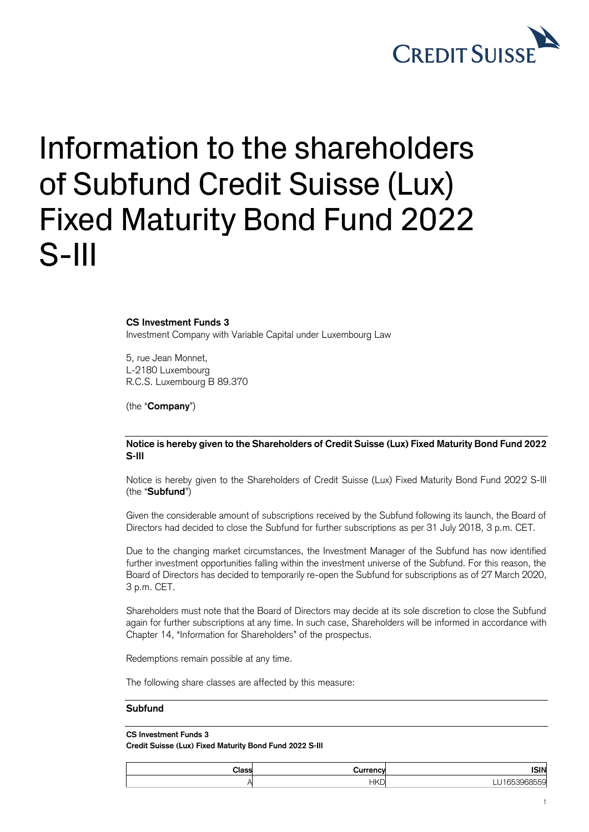

## Information to the shareholders of Subfund Credit Suisse (Lux) Fixed Maturity Bond Fund 2022 S-III

**CS Investment Funds 3**

Investment Company with Variable Capital under Luxembourg Law

5, rue Jean Monnet, L-2180 Luxembourg R.C.S. Luxembourg B 89.370

(the "**Company**")

## **Notice is hereby given to the Shareholders of Credit Suisse (Lux) Fixed Maturity Bond Fund 2022 S-III**

Notice is hereby given to the Shareholders of Credit Suisse (Lux) Fixed Maturity Bond Fund 2022 S-III (the "**Subfund**")

Given the considerable amount of subscriptions received by the Subfund following its launch, the Board of Directors had decided to close the Subfund for further subscriptions as per 31 July 2018, 3 p.m. CET.

Due to the changing market circumstances, the Investment Manager of the Subfund has now identified further investment opportunities falling within the investment universe of the Subfund. For this reason, the Board of Directors has decided to temporarily re-open the Subfund for subscriptions as of 27 March 2020, 3 p.m. CET.

Shareholders must note that the Board of Directors may decide at its sole discretion to close the Subfund again for further subscriptions at any time. In such case, Shareholders will be informed in accordance with Chapter 14, "Information for Shareholders" of the prospectus.

Redemptions remain possible at any time.

The following share classes are affected by this measure:

## **Subfund**

## **CS Investment Funds 3**

**Credit Suisse (Lux) Fixed Maturity Bond Fund 2022 S-III**

| <b>ISIN</b> | urrency    | Class |
|-------------|------------|-------|
| $- - -$<br> | <b>HKD</b> |       |